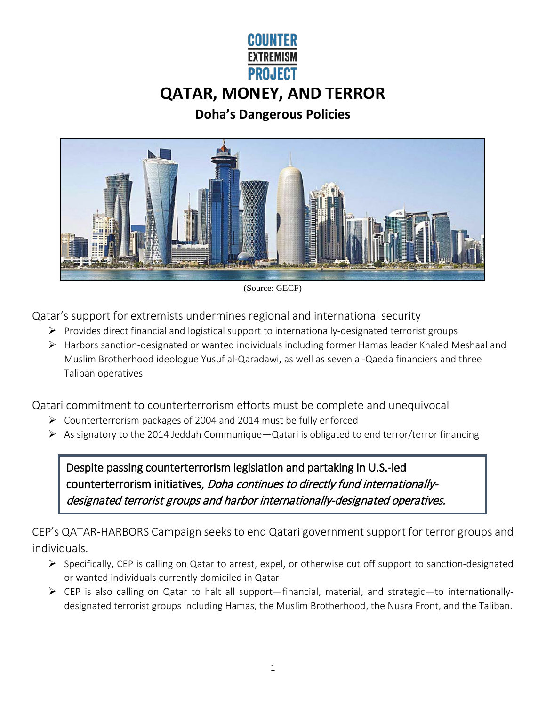# **PROJECT QATAR, MONEY, AND TERROR**

## **Doha's Dangerous Policies**



(Source[: GECF\)](https://www.gecf.org/countries/qatar)

Qatar's support for extremists undermines regional and international security

- $\triangleright$  Provides direct financial and logistical support to internationally-designated terrorist groups
- $\triangleright$  Harbors sanction-designated or wanted individuals including former Hamas leader Khaled Meshaal and Muslim Brotherhood ideologue Yusuf al-Qaradawi, as well as seven al-Qaeda financiers and three Taliban operatives

Qatari commitment to counterterrorism efforts must be complete and unequivocal

- Counterterrorism packages of 2004 and 2014 must be fully enforced
- $\triangleright$  As signatory to the 2014 Jeddah Communique—Qatari is obligated to end terror/terror financing

Despite passing counterterrorism legislation and partaking in U.S.-led counterterrorism initiatives, Doha continues to directly fund internationallydesignated terrorist groups and harbor internationally-designated operatives.

CEP's QATAR-HARBORS Campaign seeks to end Qatari government support for terror groups and individuals.

- Specifically, CEP is calling on Qatar to arrest, expel, or otherwise cut off support to sanction-designated or wanted individuals currently domiciled in Qatar
- CEP is also calling on Qatar to halt all support—financial, material, and strategic—to internationallydesignated terrorist groups including Hamas, the Muslim Brotherhood, the Nusra Front, and the Taliban.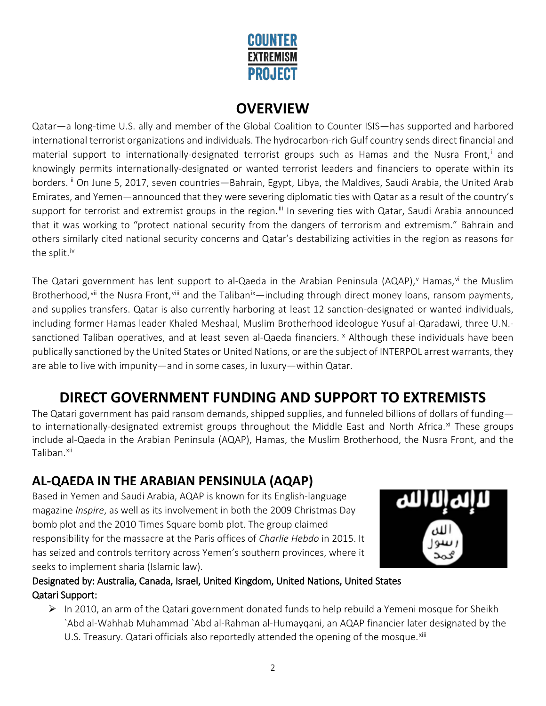

# **OVERVIEW**

Qatar—a long-time U.S. ally and member of the Global Coalition to Counter ISIS—has supported and harbored international terrorist organizations and individuals. The hydrocarbon-rich Gulf country sends direct financial and mater[i](#page-2-0)al support to internationally-designated terrorist groups such as Hamas and the Nusra Front,<sup>i</sup> and knowingly permits internationally-designated or wanted terrorist leaders and financiers to operate within its borders. [ii](#page-2-1) On June 5, 2017, seven countries—Bahrain, Egypt, Libya, the Maldives, Saudi Arabia, the United Arab Emirates, and Yemen—announced that they were severing diplomatic ties with Qatar as a result of the country's support for terrorist and extremist groups in the region.<sup>[iii](#page-2-2)</sup> In severing ties with Qatar, Saudi Arabia announced that it was working to "protect national security from the dangers of terrorism and extremism." Bahrain and others similarly cited national security concerns and Qatar's destabilizing activities in the region as reasons for the split. [iv](#page-2-3)

The Qatari government has lent support to al-Qaeda in the Arabian Peninsula (AQAP),<sup>v</sup> Hamas,<sup>[vi](#page-2-5)</sup> the Muslim Brotherhood, [vii](#page-2-6) the Nusra Front, [viii](#page-2-7) and the Taliban<sup>[ix](#page-2-8)</sup>—including through direct money loans, ransom payments, and supplies transfers. Qatar is also currently harboring at least 12 sanction-designated or wanted individuals, including former Hamas leader Khaled Meshaal, Muslim Brotherhood ideologue Yusuf al-Qaradawi, three U.N. sanctioned Taliban operatives, and at least seven al-Qaeda financiers. <sup>[x](#page-2-9)</sup> Although these individuals have been publically sanctioned by the United States or United Nations, or are the subject of INTERPOL arrest warrants, they are able to live with impunity—and in some cases, in luxury—within Qatar.

# **DIRECT GOVERNMENT FUNDING AND SUPPORT TO EXTREMISTS**

The Qatari government has paid ransom demands, shipped supplies, and funneled billions of dollars of funding to internationally-designated extremist groups throughout the Middle East and North Africa.<sup>[xi](#page-2-10)</sup> These groups include al-Qaeda in the Arabian Peninsula (AQAP), Hamas, the Muslim Brotherhood, the Nusra Front, and the Taliban.<sup>[xii](#page-2-11)</sup>

# **AL-QAEDA IN THE ARABIAN PENSINULA (AQAP)**

Based in Yemen and Saudi Arabia, AQAP is known for its English-language magazine *Inspire*, as well as its involvement in both the 2009 Christmas Day bomb plot and the 2010 Times Square bomb plot. The group claimed responsibility for the massacre at the Paris offices of *Charlie Hebdo* in 2015. It has seized and controls territory across Yemen's southern provinces, where it seeks to implement sharia (Islamic law).



#### Designated by: Australia, Canada, Israel, United Kingdom, United Nations, United States Qatari Support:

 $\triangleright$  In 2010, an arm of the Qatari government donated funds to help rebuild a Yemeni mosque for Sheikh `Abd al-Wahhab Muhammad `Abd al-Rahman al-Humayqani, an AQAP financier later designated by the U.S. Treasury. Qatari officials also reportedly attended the opening of the mosque.<sup>[xiii](#page-3-0)</sup>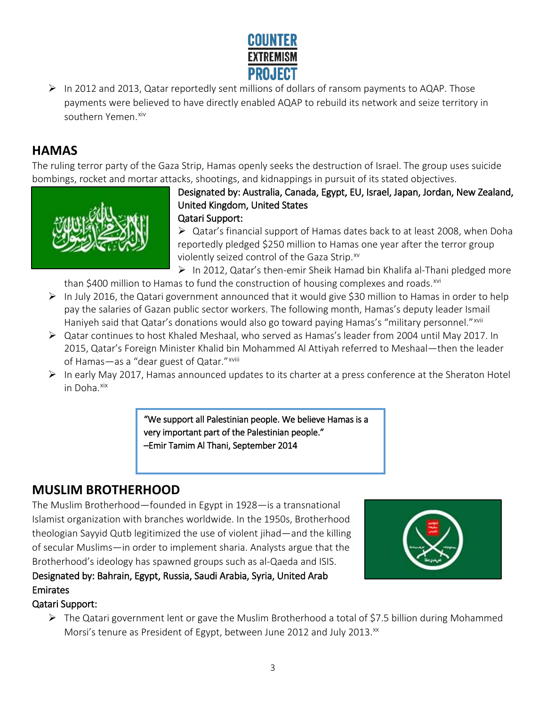

 $\triangleright$  In 2012 and 2013, Qatar reportedly sent millions of dollars of ransom payments to AQAP. Those payments were believed to have directly enabled AQAP to rebuild its network and seize territory in southern Yemen. [xiv](#page-3-1)

# <span id="page-2-1"></span><span id="page-2-0"></span>**HAMAS**

The ruling terror party of the Gaza Strip, Hamas openly seeks the destruction of Israel. The group uses suicide bombings, rocket and mortar attacks, shootings, and kidnappings in pursuit of its stated objectives.



#### Designated by: Australia, Canada, Egypt, EU, Israel, Japan, Jordan, New Zealand, United Kingdom, United States Qatari Support:

 $\triangleright$  Qatar's financial support of Hamas dates back to at least 2008, when Doha reportedly pledged \$250 million to Hamas one year after the terror group violently seized control of the Gaza Strip.<sup>[xv](#page-3-2)</sup>

 $\triangleright$  In 2012, Qatar's then-emir Sheik Hamad bin Khalifa al-Thani pledged more than \$400 million to Hamas to fund the construction of housing complexes and roads.<sup>[xvi](#page-3-3)</sup>

- <span id="page-2-4"></span><span id="page-2-3"></span><span id="page-2-2"></span> $\triangleright$  In July 2016, the Qatari government announced that it would give \$30 million to Hamas in order to help pay the salaries of Gazan public sector workers. The following month, Hamas's deputy leader Ismail Haniyeh said that Qatar's donations would also go toward paying Hamas's "military personnel."<sup>[xvii](#page-3-4)</sup>
- <span id="page-2-5"></span> Qatar continues to host Khaled Meshaal, who served as Hamas's leader from 2004 until May 2017. In 2015, Qatar's Foreign Minister Khalid bin Mohammed Al Attiyah referred to Meshaal—then the leader of Hamas—as a "dear guest of Qatar."xviii
- <span id="page-2-8"></span><span id="page-2-7"></span><span id="page-2-6"></span> $\triangleright$  In early May 2017, Hamas announced updates to its charter at a press conference at the Sheraton Hotel in Doha.<sup>xix</sup>

"We support all Palestinian people. We believe Hamas is a very important part of the Palestinian people." –Emir Tamim Al Thani, September 2014

## <span id="page-2-9"></span>**MUSLIM BROTHERHOOD**

<span id="page-2-10"></span>The Muslim Brotherhood—founded in Egypt in 1928—is a transnational Islamist organization with branches worldwide. In the 1950s, Brotherhood theologian Sayyid Qutb legitimized the use of violent jihad—and the killing of secular Muslims—in order to implement sharia. Analysts argue that the Brotherhood's ideology has spawned groups such as al-Qaeda and ISIS.

Designated by: Bahrain, Egypt, Russia, Saudi Arabia, Syria, United Arab Emirates



### <span id="page-2-11"></span>Qatari Support:

 The Qatari government lent or gave the Muslim Brotherhood a total of \$7.5 billion during Mohammed Morsi's tenure as President of Egypt, between June 2012 and July 2013.<sup>xx</sup>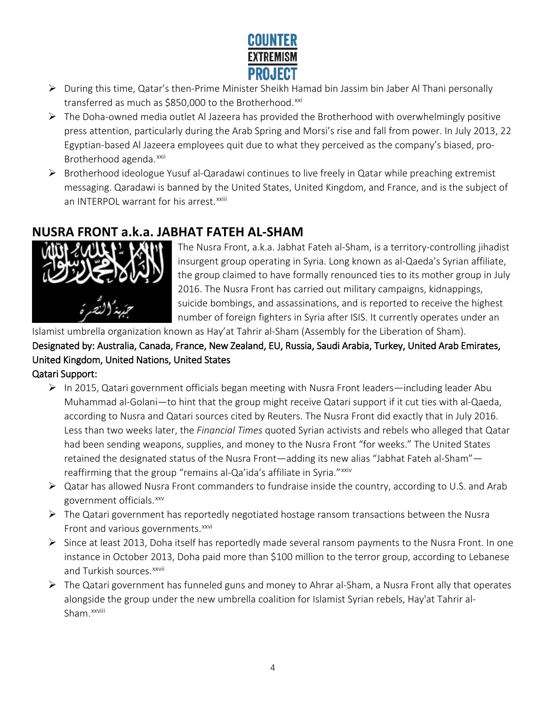

- <span id="page-3-0"></span> During this time, Qatar's then-Prime Minister Sheikh Hamad bin Jassim bin Jaber Al Thani personally transferred as much as \$850,000 to the Brotherhood.[xxi](#page-3-7)
- <span id="page-3-2"></span><span id="page-3-1"></span> $\triangleright$  The Doha-owned media outlet Al Jazeera has provided the Brotherhood with overwhelmingly positive press attention, particularly during the Arab Spring and Morsi's rise and fall from power. In July 2013, 22 Egyptian-based Al Jazeera employees quit due to what they perceived as the company's biased, proBrotherhood agenda.<sup>[xxii](#page-3-8)</sup>
- <span id="page-3-4"></span><span id="page-3-3"></span> $\triangleright$  Brotherhood ideologue Yusuf al-Qaradawi continues to live freely in Qatar while preaching extremist messaging. Qaradawi is banned by the United States, United Kingdom, and France, and is the subject of an INTERPOL warrant for his arrest.<sup>xxiii</sup>

## <span id="page-3-6"></span><span id="page-3-5"></span>**NUSRA FRONT a.k.a. JABHAT FATEH AL-SHAM**

<span id="page-3-8"></span><span id="page-3-7"></span>

The Nusra Front, a.k.a. Jabhat Fateh al-Sham, is a territory-controlling jihadist insurgent group operating in Syria. Long known as al-Qaeda's Syrian affiliate, the group claimed to have formally renounced ties to its mother group in July 2016. The Nusra Front has carried out military campaigns, kidnappings, suicide bombings, and assassinations, and is reported to receive the highest number of foreign fighters in Syria after ISIS. It currently operates under an

Islamist umbrella organization known as Hay'at Tahrir al-Sham (Assembly for the Liberation of Sham).

Designated by: Australia, Canada, France, New Zealand, EU, Russia, Saudi Arabia, Turkey, United Arab Emirates, United Kingdom, United Nations, United States

<span id="page-3-10"></span><span id="page-3-9"></span>Qatari Support:

- $\triangleright$  In 2015, Qatari government officials began meeting with Nusra Front leaders—including leader Abu Muhammad al-Golani—to hint that the group might receive Qatari support if it cut ties with al-Qaeda, according to Nusra and Qatari sources cited by Reuters. The Nusra Front did exactly that in July 2016. Less than two weeks later, the *Financial Times* quoted Syrian activists and rebels who alleged that Qatar had been sending weapons, supplies, and money to the Nusra Front "for weeks." The United States retained the designated status of the Nusra Front—adding its new alias "Jabhat Fateh al-Sham" reaffirming that the group "remains al-Qa'ida's affiliate in Syria."<sup>[xxiv](#page-3-9)</sup>
- <span id="page-3-11"></span> Qatar has allowed Nusra Front commanders to fundraise inside the country, according to U.S. and Arab government officials.[xxv](#page-3-10)
- $\triangleright$  The Qatari government has reportedly negotiated hostage ransom transactions between the Nusra Front and various governments.<sup>[xxvi](#page-3-11)</sup>
- <span id="page-3-12"></span> $\triangleright$  Since at least 2013, Doha itself has reportedly made several ransom payments to the Nusra Front. In one instance in October 2013, Doha paid more than \$100 million to the terror group, according to Lebanese and Turkish sources.<sup>xxvii</sup>
- <span id="page-3-16"></span><span id="page-3-15"></span><span id="page-3-14"></span><span id="page-3-13"></span> $\triangleright$  The Qatari government has funneled guns and money to Ahrar al-Sham, a Nusra Front ally that operates alongside the group under the new umbrella coalition for Islamist Syrian rebels, Hay'at Tahrir al-Sham. <sup>xxviii</sup>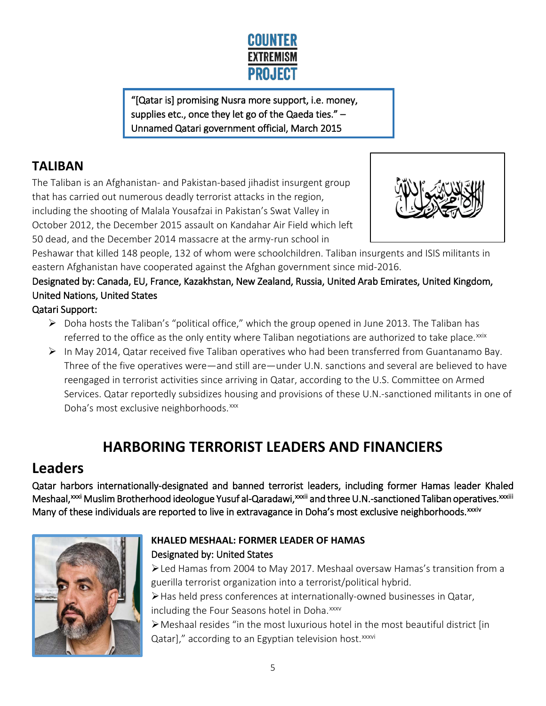

"[Qatar is] promising Nusra more support, i.e. money, supplies etc., once they let go of the Qaeda ties."  $-$ Unnamed Qatari government official, March 2015

# <span id="page-4-2"></span><span id="page-4-1"></span><span id="page-4-0"></span>**TALIBAN**

<span id="page-4-4"></span><span id="page-4-3"></span>The Taliban is an Afghanistan- and Pakistan-based jihadist insurgent group that has carried out numerous deadly terrorist attacks in the region, including the shooting of Malala Yousafzai in Pakistan's Swat Valley in October 2012, the December 2015 assault on Kandahar Air Field which left 50 dead, and the December 2014 massacre at the army-run school in



<span id="page-4-5"></span>Peshawar that killed 148 people, 132 of whom were schoolchildren. Taliban insurgents and ISIS militants in eastern Afghanistan have cooperated against the Afghan government since mid-2016.

<span id="page-4-6"></span>Designated by: Canada, EU, France, Kazakhstan, New Zealand, Russia, United Arab Emirates, United Kingdom, United Nations, United States

#### <span id="page-4-7"></span>Qatari Support:

- $\triangleright$  Doha hosts the Taliban's "political office," which the group opened in June 2013. The Taliban has referred to the office as the only entity where Taliban negotiations are authorized to take place.<sup>[xxix](#page-3-12)</sup>
- <span id="page-4-8"></span> $\triangleright$  In May 2014, Qatar received five Taliban operatives who had been transferred from Guantanamo Bay. Three of the five operatives were—and still are—under U.N. sanctions and several are believed to have reengaged in terrorist activities since arriving in Qatar, according to the U.S. Committee on Armed Services. Qatar reportedly subsidizes housing and provisions of these U.N.-sanctioned militants in one of Doha's most exclusive neighborhoods.<sup>[xxx](#page-3-13)</sup>

# **HARBORING TERRORIST LEADERS AND FINANCIERS**

# <span id="page-4-10"></span><span id="page-4-9"></span>**Leaders**

<span id="page-4-11"></span>Qatar harbors internationally-designated and banned terrorist leaders, including former Hamas leader Khaled Meshaal, [xxxi](#page-3-14) Muslim Brotherhood ideologue Yusuf [a](#page-3-15)l-Qaradawi,xxxii and three U.N.-sanctioned Taliban operatives. xxxiii Manyof these individuals are reported to live in extravagance in Doha's most exclusive neighborhoods.<sup>xxxiv</sup>

<span id="page-4-19"></span><span id="page-4-18"></span><span id="page-4-17"></span><span id="page-4-16"></span><span id="page-4-15"></span><span id="page-4-14"></span><span id="page-4-13"></span><span id="page-4-12"></span>

#### **KHALED MESHAAL: FORMER LEADER OF HAMAS** Designated by: United States

Led Hamas from 2004 to May 2017. Meshaal oversaw Hamas's transition from a guerilla terrorist organization into a terrorist/political hybrid.

Has held press conferences at internationally-owned businesses in Qatar, including the Four Seasons hotel in Doha.<sup>[xxxv](#page-4-1)</sup>

Meshaal resides "in the most luxurious hotel in the most beautiful district [in Qatar]," accord[i](#page-4-2)ng to an Egyptian television host.<sup>xxxvi</sup>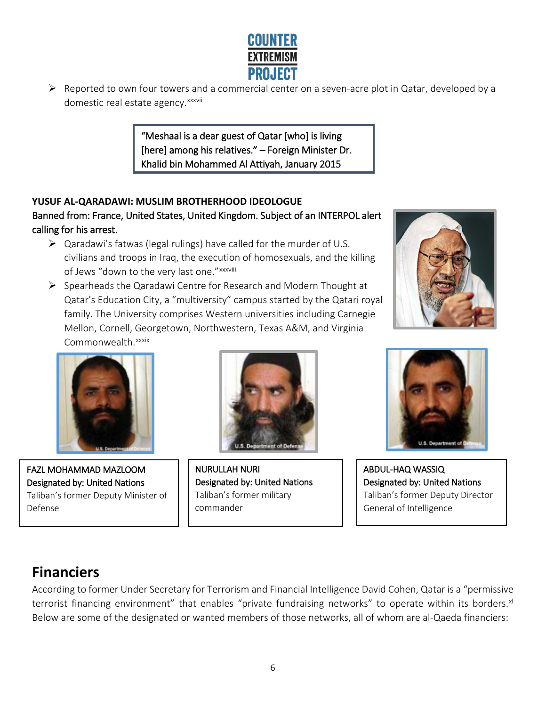

<span id="page-5-1"></span><span id="page-5-0"></span> $\triangleright$  Reported to own four towers and a commercial center on a seven-acre plot in Qatar, developed by a domest[i](#page-4-3)c real estate agency. xxxvii

> "Meshaal is a dear guest of Qatar [who] is living [here] among his relatives." – Foreign Minister Dr. Khalid bin Mohammed Al Attiyah, January 2015

#### <span id="page-5-7"></span><span id="page-5-6"></span><span id="page-5-5"></span><span id="page-5-4"></span><span id="page-5-3"></span><span id="page-5-2"></span>**YUSUF AL-QARADAWI: MUSLIM BROTHERHOOD IDEOLOGUE**  Banned from: France, United States, United Kingdom. Subject of an INTERPOL alert calling for his arrest.

- <span id="page-5-8"></span> $\triangleright$  Qaradawi's fatwas (legal rulings) have called for the murder of U.S. civilians and troops in Iraq, the execution of homosexuals, and the killing of Jews "down to the very last one." xxxv[i](#page-4-4)ii
- $\triangleright$  Spearheads the Qaradawi Centre for Research and Modern Thought at Qatar's Education City, a "multiversity" campus started by the Qatari royal family. The University comprises Western universities including Carnegie Mellon, Cornell, Georgetown, Northwestern, Texas A&M, and Virginia Commonwealth. xxxix





FAZL MOHAMMAD MAZLOOM Designated by: United Nations Taliban's former Deputy Minister of Defense



NURULLAH NURI Designated by: United Nations Taliban's former military commander



ABDUL-HAQ WASSIQ Designated by: United Nations Taliban's former Deputy Director General of Intelligence

# **Financiers**

According to former Under Secretary for Terrorism and Financial Intelligence David Cohen, Qatar is a "permissive terrorist financing environment" that enables "private fundraising networks" to operate within its borders.<sup>[xl](#page-4-5)</sup> Below are some of the designated or wanted members of those networks, all of whom are al-Qaeda financiers: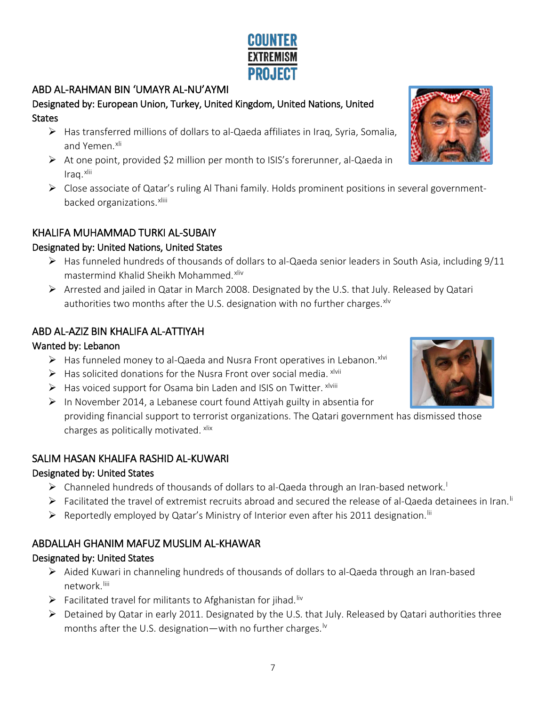#### ABD AL-RAHMAN BIN 'UMAYR AL-NU'AYMI

#### Designated by: European Union, Turkey, United Kingdom, United Nations, United **States**

- Has transferred millions of dollars to al-Qaeda affiliates in Iraq, Syria, Somalia, and Yemen.<sup>[xli](#page-4-6)</sup>
- $\triangleright$  At one point, provided \$2 million per month to ISIS's forerunner, al-Qaeda in Iraq. [xlii](#page-4-7)
- $\triangleright$  Close associate of Qatar's ruling Al Thani family. Holds prominent positions in several governmentbacked organizations.<sup>xliii</sup>

#### KHALIFA MUHAMMAD TURKI AL-SUBAIY

#### Designated by: United Nations, United States

- $\triangleright$  Has funneled hundreds of thousands of dollars to al-Qaeda senior leaders in South Asia, including 9/11 mastermind Khalid Sheikh Mohammed. [xliv](#page-4-8)
- Arrested and jailed in Qatar in March 2008. Designated by the U.S. that July. Released by Qatari authorities two months after the U.S. designation with no further charges. $x^{1/v}$

#### ABD AL-AZIZ BIN KHALIFA AL-ATTIYAH

#### Wanted by: Lebanon

- $\triangleright$  Has funneled money to al-Qaeda and Nusra Front operatives in Lebanon.<sup>[xlvi](#page-4-10)</sup>
- $\triangleright$  Has solicited donations for the Nusra Front over social media.  $x^{\text{lviii}}$
- $\triangleright$  Has voiced support for Osama bin Laden and ISIS on Twitter.  $x^{\text{lviii}}$
- $\triangleright$  In November 2014, a Lebanese court found Attiyah guilty in absentia for

providing financial support to terrorist organizations. The Qatari government has dismissed those charges as politically motivated. [xlix](#page-4-11)

#### SALIM HASAN KHALIFA RASHID AL-KUWARI

#### Designated by: United States

- > Channe[l](#page-4-12)ed hundreds of thousands of dollars to al-Qaeda through an Iran-based network.<sup>1</sup>
- > Faci[li](#page-4-13)tated the travel of extremist recruits abroad and secured the release of al-Qaeda detainees in Iran.<sup>Ii</sup>
- $\triangleright$  Reportedly employed by Qatar's Ministry of Interior even after his 2011 designation.<sup>Iii</sup>

#### ABDALLAH GHANIM MAFUZ MUSLIM AL-KHAWAR

#### Designated by: United States

- $\triangleright$  Aided Kuwari in channeling hundreds of thousands of dollars to al-Qaeda through an Iran-based network.[liii](#page-4-15)
- $\triangleright$  Facilitated travel for militants to Afghanistan for jihad.<sup>[liv](#page-4-16)</sup>
- $\triangleright$  Detained by Qatar in early 2011. Designated by the U.S. that July. Released by Qatari authorities three months after the U.S. designation—with no further charges.  $\sqrt{v}$





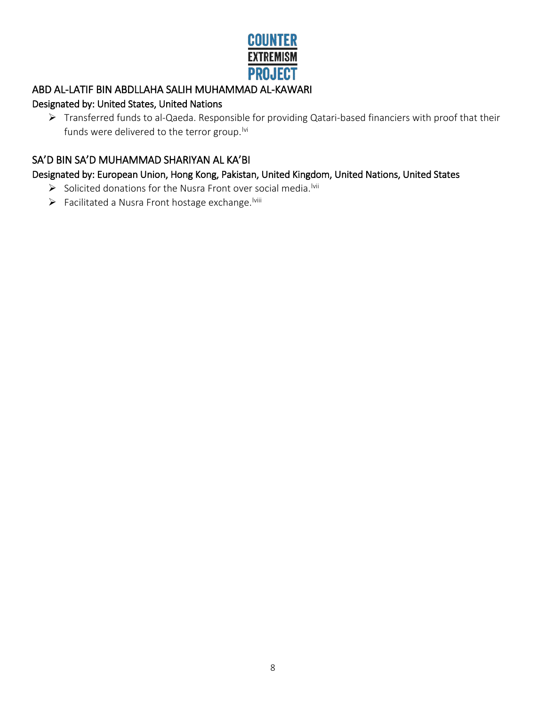# **COUNTER EXTREMISM PROJECT**

#### ABD AL-LATIF BIN ABDLLAHA SALIH MUHAMMAD AL-KAWARI

#### Designated by: United States, United Nations

 Transferred funds to al-Qaeda. Responsible for providing Qatari-based financiers with proof that their funds were delivered to the terror group.<sup>Ivi</sup>

#### SA'D BIN SA'D MUHAMMAD SHARIYAN AL KA'BI

Designated by: European Union, Hong Kong, Pakistan, United Kingdom, United Nations, United States

- $\triangleright$  Solicited donations for the Nusra Front over social media.<sup>Ivii</sup>
- $\triangleright$  Facilitated a Nusra Front hostage exchange.  $\text{Iwiii}$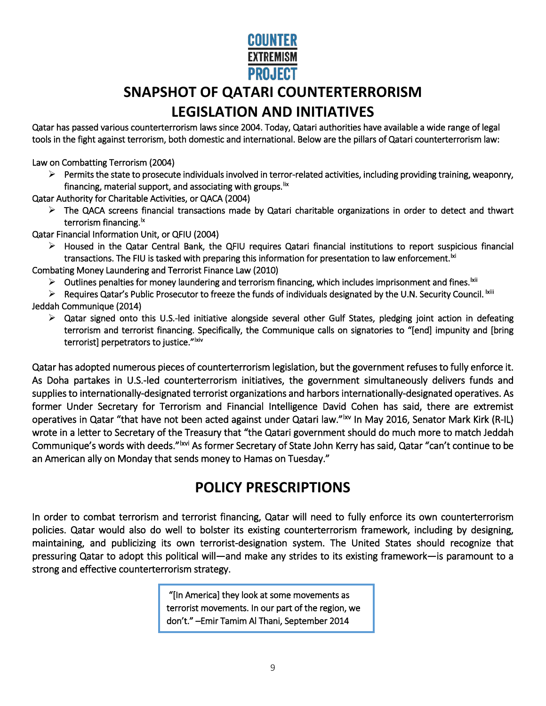# **COUNTER EXTREMISM PROJECT**

# **SNAPSHOT OF QATARI COUNTERTERRORISM LEGISLATION AND INITIATIVES**

Qatar has passed various counterterrorism laws since 2004. Today, Qatari authorities have available a wide range of legal tools in the fight against terrorism, both domestic and international. Below are the pillars of Qatari counterterrorism law:

Law on Combatting Terrorism (2004)

 $\triangleright$  Permits the state to prosecute individuals involved in terror-related activities, including providing training, weaponry, financing, material support, and associating with groups. Iix

Qatar Authority for Charitable Activities, or QACA (2004)

 $\triangleright$  The QACA screens financial transactions made by Qatari charitable organizations in order to detect and thwart terrorism financing.<sup>1x</sup>

Qatar Financial Information Unit, or QFIU (2004)

 $\triangleright$  Housed in the Qatar Central Bank, the QFIU requires Qatari financial institutions to report suspicious financial transactions. The FIU is tasked with preparing this information for presentation to law enforcement.<sup>|xi</sup>

Combating Money Laundering and Terrorist Finance Law (2010)

- $\triangleright$  Outlines penalties for money laundering and terrorism financing, which includes imprisonment and fines.  $\text{ln}$
- $\triangleright$  Requires Qatar's Public Prosecutor to freeze the funds of individuals designated by the U.N. Security Council.  $x$ iii

Jeddah Communique (2014)

 $\triangleright$  Qatar signed onto this U.S.-led initiative alongside several other Gulf States, pledging joint action in defeating terrorism and terrorist financing. Specifically, the Communique calls on signatories to "[end] impunity and [bring terrorist] perpetrators to justice."<sup>Ixiv</sup>

Qatar has adopted numerous pieces of counterterrorism legislation, but the government refuses to fully enforce it. As Doha partakes in U.S.-led counterterrorism initiatives, the government simultaneously delivers funds and supplies to internationally-designated terrorist organizations and harbors internationally-designated operatives. As former Under Secretary for Terrorism and Financial Intelligence David Cohen has said, there are extremist operatives in Qatar "that have not been acted against under Qatari law."<sup>Ixv</sup> In May 2016, Senator Mark Kirk (R-IL) wrote in a letter to Secretary of the Treasury that "the Qatari government should do much more to match Jeddah Communique's words with deeds."<sup>Ixvi</sup> As former Secretary of State John Kerry has said, Qatar "can't continue to be an American ally on Monday that sends money to Hamas on Tuesday."

# **POLICY PRESCRIPTIONS**

In order to combat terrorism and terrorist financing, Qatar will need to fully enforce its own counterterrorism policies. Qatar would also do well to bolster its existing counterterrorism framework, including by designing, maintaining, and publicizing its own terrorist-designation system. The United States should recognize that pressuring Qatar to adopt this political will—and make any strides to its existing framework—is paramount to a strong and effective counterterrorism strategy.

> "[In America] they look at some movements as terrorist movements. In our part of the region, we don't." –Emir Tamim Al Thani, September 2014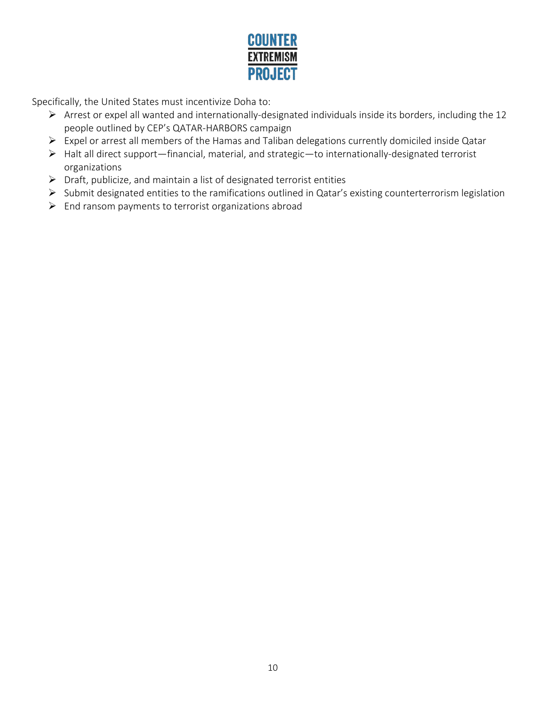

Specifically, the United States must incentivize Doha to:

- Arrest or expel all wanted and internationally-designated individuals inside its borders, including the 12 people outlined by CEP's QATAR-HARBORS campaign
- Expel or arrest all members of the Hamas and Taliban delegations currently domiciled inside Qatar
- Halt all direct support—financial, material, and strategic—to internationally-designated terrorist organizations
- $\triangleright$  Draft, publicize, and maintain a list of designated terrorist entities
- Submit designated entities to the ramifications outlined in Qatar's existing counterterrorism legislation
- $\triangleright$  End ransom payments to terrorist organizations abroad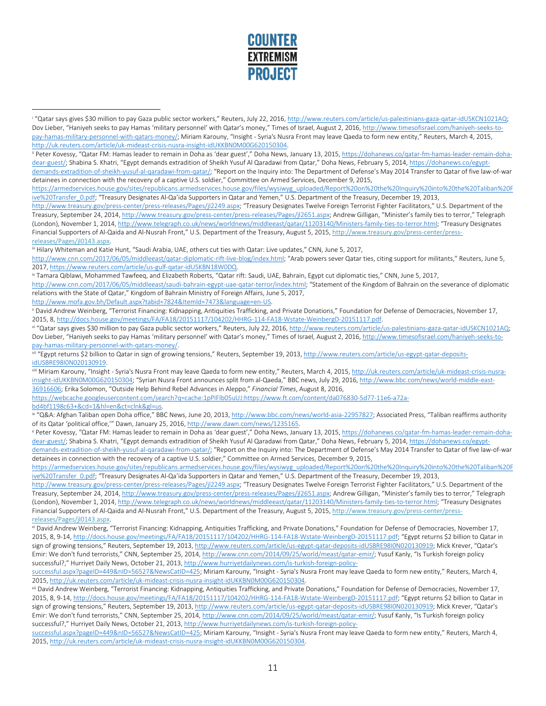

<sup>&</sup>lt;sup>i</sup> "Qatar says gives \$30 million to pay Gaza public sector workers," Reuters, July 22, 2016, http://www.reuters.com/article/us-palestinians-gaza-qatar-idUSKCN1021AQ; Dov Lieber, "Haniyeh seeks to pay Hamas 'military personnel' with Qatar's money," Times of Israel, August 2, 2016[, http://www.timesofisrael.com/haniyeh-seeks-to](http://www.timesofisrael.com/haniyeh-seeks-to-pay-hamas-military-personnel-with-qatars-money/)[pay-hamas-military-personnel-with-qatars-money/;](http://www.timesofisrael.com/haniyeh-seeks-to-pay-hamas-military-personnel-with-qatars-money/) Miriam Karouny, "Insight - Syria's Nusra Front may leave Qaeda to form new entity," Reuters, March 4, 2015, [http://uk.reuters.com/article/uk-mideast-crisis-nusra-insight-idUKKBN0M00G620150304.](http://uk.reuters.com/article/uk-mideast-crisis-nusra-insight-idUKKBN0M00G620150304)

[https://armedservices.house.gov/sites/republicans.armedservices.house.gov/files/wysiwyg\\_uploaded/Report%20on%20the%20Inquiry%20into%20the%20Taliban%20F](https://armedservices.house.gov/sites/republicans.armedservices.house.gov/files/wysiwyg_uploaded/Report%20on%20the%20Inquiry%20into%20the%20Taliban%20Five%20Transfer_0.pdf) [ive%20Transfer\\_0.pdf;](https://armedservices.house.gov/sites/republicans.armedservices.house.gov/files/wysiwyg_uploaded/Report%20on%20the%20Inquiry%20into%20the%20Taliban%20Five%20Transfer_0.pdf) "Treasury Designates Al-Qa'ida Supporters in Qatar and Yemen," U.S. Department of the Treasury, December 19, 2013,

[http://www.treasury.gov/press-center/press-releases/Pages/jl2249.aspx;](http://www.treasury.gov/press-center/press-releases/Pages/jl2249.aspx) "Treasury Designates Twelve Foreign Terrorist Fighter Facilitators," U.S. Department of the Treasury, September 24, 2014[, http://www.treasury.gov/press-center/press-releases/Pages/jl2651.aspx;](http://www.treasury.gov/press-center/press-releases/Pages/jl2651.aspx) Andrew Gilligan, "Minister's family ties to terror," Telegraph (London), November 1, 2014[, http://www.telegraph.co.uk/news/worldnews/middleeast/qatar/11203140/Ministers-family-ties-to-terror.html;](http://www.telegraph.co.uk/news/worldnews/middleeast/qatar/11203140/Ministers-family-ties-to-terror.html) "Treasury Designates Financial Supporters of Al-Qaida and Al-Nusrah Front," U.S. Department of the Treasury, August 5, 2015, [http://www.treasury.gov/press-center/press-](http://www.treasury.gov/press-center/press-releases/Pages/jl0143.aspx)

releases/Pages/jl0143.aspx.<br>iii Hilary Whiteman and Katie Hunt, "Saudi Arabia, UAE, others cut ties with Qatar: Live updates," CNN, June 5, 2017,

[http://www.cnn.com/2017/06/05/middleeast/qatar-diplomatic-rift-live-blog/index.html;](http://www.cnn.com/2017/06/05/middleeast/qatar-diplomatic-rift-live-blog/index.html) "Arab powers sever Qatar ties, citing support for militants," Reuters, June 5, 2017[, https://www.reuters.com/article/us-gulf-qatar-idUSKBN18W0DQ.](https://www.reuters.com/article/us-gulf-qatar-idUSKBN18W0DQ)

iv Tamara Qiblawi, Mohammed Tawfeeq, and Elizabeth Roberts, "Qatar rift: Saudi, UAE, Bahrain, Egypt cut diplomatic ties," CNN, June 5, 2017,

[http://www.cnn.com/2017/06/05/middleeast/saudi-bahrain-egypt-uae-qatar-terror/index.html;](http://www.cnn.com/2017/06/05/middleeast/saudi-bahrain-egypt-uae-qatar-terror/index.html) "Statement of the Kingdom of Bahrain on the severance of diplomatic relations with the State of Qatar," Kingdom of Bahrain Ministry of Foreign Affairs, June 5, 2017,

[http://www.mofa.gov.bh/Default.aspx?tabid=7824&ItemId=7473&language=en-US.](http://www.mofa.gov.bh/Default.aspx?tabid=7824&ItemId=7473&language=en-US)

<sup>v</sup> David Andrew Weinberg, "Terrorist Financing: Kidnapping, Antiquities Trafficking, and Private Donations," Foundation for Defense of Democracies, November 17, 2015, 8[, http://docs.house.gov/meetings/FA/FA18/20151117/104202/HHRG-114-FA18-Wstate-WeinbergD-20151117.pdf.](http://docs.house.gov/meetings/FA/FA18/20151117/104202/HHRG-114-FA18-Wstate-WeinbergD-20151117.pdf)

vi "Qatar says gives \$30 million to pay Gaza public sector workers," Reuters, July 22, 2016, http://www.reuters.com/article/us-palestinians-gaza-qatar-idUSKCN1021AQ; Dov Lieber, "Haniyeh seeks to pay Hamas 'military personnel' with Qatar's money," Times of Israel, August 2, 2016[, http://www.timesofisrael.com/haniyeh-seeks-to-](http://www.timesofisrael.com/haniyeh-seeks-to-pay-hamas-military-personnel-with-qatars-money/)

[insight-idUKKBN0M00G620150304;](http://uk.reuters.com/article/uk-mideast-crisis-nusra-insight-idUKKBN0M00G620150304) "Syrian Nusra Front announces split from al-Qaeda," BBC news, July 29, 2016[, http://www.bbc.com/news/world-middle-east-](http://www.bbc.com/news/world-middle-east-36916606)[36916606;](http://www.bbc.com/news/world-middle-east-36916606) Erika Solomon, "Outside Help Behind Rebel Advances in Aleppo," *Financial Times*, August 8, 2016,

[https://webcache.googleusercontent.com/search?q=cache:1pPIFlb05uUJ:https://www.ft.com/content/da076830-5d77-11e6-a72a-](https://webcache.googleusercontent.com/search?q=cache:1pPIFlb05uUJ:https://www.ft.com/content/da076830-5d77-11e6-a72a-bd4bf1198c63+&cd=1&hl=en&ct=clnk&gl=us)

 $\overline{a}$ 

bd4bf1198c63+&cd=1&hl=en&ct=clnk&gl=us.<br>ix "Q&A: Afghan Taliban open Doha office," BBC News, June 20, 2013[, http://www.bbc.com/news/world-asia-22957827;](http://www.bbc.com/news/world-asia-22957827) Associated Press, "Taliban reaffirms authority of its Qatar 'political office,'" Dawn, January 25, 2016, http://www.dawn.com/news/1235165.<br>\* Peter Kovessy, "Qatar FM: Hamas leader to remain in Doha as 'dear guest'," Doha News, January 13, 2015, https://dohanews.co/qata

[dear-guest/;](https://dohanews.co/qatar-fm-hamas-leader-remain-doha-dear-guest/) Shabina S. Khatri, "Egypt demands extradition of Sheikh Yusuf Al Qaradawi from Qatar," Doha News, February 5, 2014[, https://dohanews.co/egypt](https://dohanews.co/egypt-demands-extradition-of-sheikh-yusuf-al-qaradawi-from-qatar/)[demands-extradition-of-sheikh-yusuf-al-qaradawi-from-qatar/;](https://dohanews.co/egypt-demands-extradition-of-sheikh-yusuf-al-qaradawi-from-qatar/) "Report on the Inquiry into: The Department of Defense's May 2014 Transfer to Qatar of five law-of-war detainees in connection with the recovery of a captive U.S. soldier," Committee on Armed Services, December 9, 2015,

[https://armedservices.house.gov/sites/republicans.armedservices.house.gov/files/wysiwyg\\_uploaded/Report%20on%20the%20Inquiry%20into%20the%20Taliban%20F](https://armedservices.house.gov/sites/republicans.armedservices.house.gov/files/wysiwyg_uploaded/Report%20on%20the%20Inquiry%20into%20the%20Taliban%20Five%20Transfer_0.pdf) [ive%20Transfer\\_0.pdf;](https://armedservices.house.gov/sites/republicans.armedservices.house.gov/files/wysiwyg_uploaded/Report%20on%20the%20Inquiry%20into%20the%20Taliban%20Five%20Transfer_0.pdf) "Treasury Designates Al-Qa'ida Supporters in Qatar and Yemen," U.S. Department of the Treasury, December 19, 2013,

[http://www.treasury.gov/press-center/press-releases/Pages/jl2249.aspx;](http://www.treasury.gov/press-center/press-releases/Pages/jl2249.aspx) "Treasury Designates Twelve Foreign Terrorist Fighter Facilitators," U.S. Department of the Treasury, September 24, 2014[, http://www.treasury.gov/press-center/press-releases/Pages/jl2651.aspx;](http://www.treasury.gov/press-center/press-releases/Pages/jl2651.aspx) Andrew Gilligan, "Minister's family ties to terror," Telegraph (London), November 1, 2014[, http://www.telegraph.co.uk/news/worldnews/middleeast/qatar/11203140/Ministers-family-ties-to-terror.html;](http://www.telegraph.co.uk/news/worldnews/middleeast/qatar/11203140/Ministers-family-ties-to-terror.html) "Treasury Designates Financial Supporters of Al-Qaida and Al-Nusrah Front," U.S. Department of the Treasury, August 5, 2015, [http://www.treasury.gov/press-center/press](http://www.treasury.gov/press-center/press-releases/Pages/jl0143.aspx)releases/Pages/jl0143.aspx.<br><sup>xi</sup> David Andrew Weinberg, "Terrorist Financing: Kidnapping, Antiquities Trafficking, and Private Donations," Foundation for Defense of Democracies, November 17,

2015, 8, 9-14[, http://docs.house.gov/meetings/FA/FA18/20151117/104202/HHRG-114-FA18-Wstate-WeinbergD-20151117.pdf;](http://docs.house.gov/meetings/FA/FA18/20151117/104202/HHRG-114-FA18-Wstate-WeinbergD-20151117.pdf) "Egypt returns \$2 billion to Qatar in sign of growing tensions," Reuters, September 19, 2013[, http://www.reuters.com/article/us-egypt-qatar-deposits-idUSBRE98I0N020130919;](http://www.reuters.com/article/us-egypt-qatar-deposits-idUSBRE98I0N020130919) Mick Krever, "Qatar's Emir: We don't fund terrorists," CNN, September 25, 2014[, http://www.cnn.com/2014/09/25/world/meast/qatar-emir/;](http://www.cnn.com/2014/09/25/world/meast/qatar-emir/) Yusuf Kanly, "Is Turkish foreign policy successful?," Hurriyet Daily News, October 21, 2013[, http://www.hurriyetdailynews.com/is-turkish-foreign-policy-](http://www.hurriyetdailynews.com/is-turkish-foreign-policy-successful.aspx?pageID=449&nID=56527&NewsCatID=425)

[successful.aspx?pageID=449&nID=56527&NewsCatID=425;](http://www.hurriyetdailynews.com/is-turkish-foreign-policy-successful.aspx?pageID=449&nID=56527&NewsCatID=425) Miriam Karouny, "Insight - Syria's Nusra Front may leave Qaeda to form new entity," Reuters, March 4,

2015, <u>http://uk.reuters.com/article/uk-mideast-crisis-nusra-insight-idUKKBN0M00G620150304</u>.<br><sup>xii</sup> David Andrew Weinberg, "Terrorist Financing: Kidnapping, Antiquities Trafficking, and Private Donations," Foundation for De 2015, 8, 9-14[, http://docs.house.gov/meetings/FA/FA18/20151117/104202/HHRG-114-FA18-Wstate-WeinbergD-20151117.pdf;](http://docs.house.gov/meetings/FA/FA18/20151117/104202/HHRG-114-FA18-Wstate-WeinbergD-20151117.pdf) "Egypt returns \$2 billion to Qatar in sign of growing tensions," Reuters, September 19, 2013[, http://www.reuters.com/article/us-egypt-qatar-deposits-idUSBRE98I0N020130919;](http://www.reuters.com/article/us-egypt-qatar-deposits-idUSBRE98I0N020130919) Mick Krever, "Qatar's Emir: We don't fund terrorists," CNN, September 25, 2014[, http://www.cnn.com/2014/09/25/world/meast/qatar-emir/;](http://www.cnn.com/2014/09/25/world/meast/qatar-emir/) Yusuf Kanly, "Is Turkish foreign policy successful?," Hurriyet Daily News, October 21, 2013[, http://www.hurriyetdailynews.com/is-turkish-foreign-policy-](http://www.hurriyetdailynews.com/is-turkish-foreign-policy-successful.aspx?pageID=449&nID=56527&NewsCatID=425)

[successful.aspx?pageID=449&nID=56527&NewsCatID=425;](http://www.hurriyetdailynews.com/is-turkish-foreign-policy-successful.aspx?pageID=449&nID=56527&NewsCatID=425) Miriam Karouny, "Insight - Syria's Nusra Front may leave Qaeda to form new entity," Reuters, March 4, 2015[, http://uk.reuters.com/article/uk-mideast-crisis-nusra-insight-idUKKBN0M00G620150304.](http://uk.reuters.com/article/uk-mideast-crisis-nusra-insight-idUKKBN0M00G620150304) 

<sup>&</sup>lt;sup>ii</sup> Peter Kovessy, "Qatar FM: Hamas leader to remain in Doha as 'dear guest'," Doha News, January 13, 2015[, https://dohanews.co/qatar-fm-hamas-leader-remain-doha](https://dohanews.co/qatar-fm-hamas-leader-remain-doha-dear-guest/)[dear-guest/;](https://dohanews.co/qatar-fm-hamas-leader-remain-doha-dear-guest/) Shabina S. Khatri, "Egypt demands extradition of Sheikh Yusuf Al Qaradawi from Qatar," Doha News, February 5, 2014[, https://dohanews.co/egypt](https://dohanews.co/egypt-demands-extradition-of-sheikh-yusuf-al-qaradawi-from-qatar/)[demands-extradition-of-sheikh-yusuf-al-qaradawi-from-qatar/;](https://dohanews.co/egypt-demands-extradition-of-sheikh-yusuf-al-qaradawi-from-qatar/) "Report on the Inquiry into: The Department of Defense's May 2014 Transfer to Qatar of five law-of-war detainees in connection with the recovery of a captive U.S. soldier," Committee on Armed Services, December 9, 2015,

[pay-hamas-military-personnel-with-qatars-money/.](http://www.timesofisrael.com/haniyeh-seeks-to-pay-hamas-military-personnel-with-qatars-money/)<br><sup>vii</sup> "Egypt returns \$2 billion to Qatar in sign of growing tensions," Reuters, September 19, 2013[, http://www.reuters.com/article/us-egypt-qatar-deposits](http://www.reuters.com/article/us-egypt-qatar-deposits-idUSBRE98I0N020130919)i<u>dUSBRE98I0N020130919</u>.<br><sup>viii</sup> Miriam Karouny, "Insight - Syria's Nusra Front may leave Qaeda to form new entity," Reuters, March 4, 2015, <u>http://uk.reuters.com/article/uk-mideast-crisis-nusra-</u>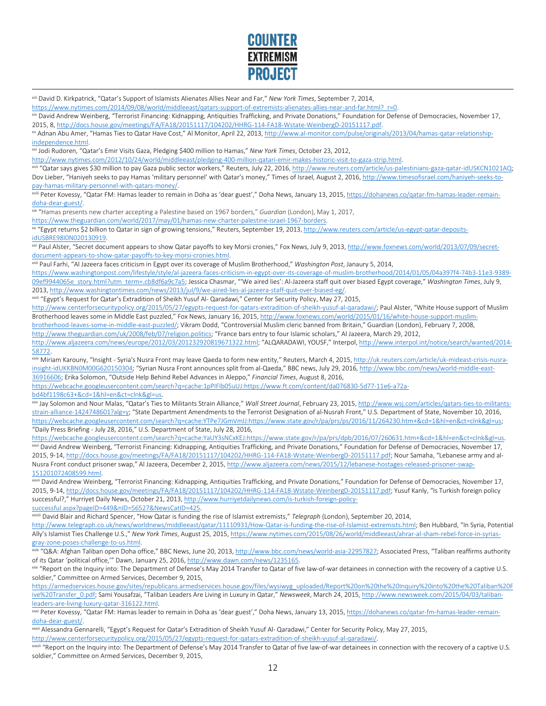

xiii David D. Kirkpatrick, "Qatar's Support of Islamists Alienates Allies Near and Far," *New York Times*, September 7, 2014,

https://www.nytimes.com/2014/09/08/world/middleeast/gatars-support-of-extremists-alienates-allies-near-and-far.html? r=0.<br><sup>xiv</sup> David Andrew Weinberg, "Terrorist Financing: Kidnapping, Antiquities Trafficking, and Private 2015, 8[, http://docs.house.gov/meetings/FA/FA18/20151117/104202/HHRG-114-FA18-Wstate-WeinbergD-20151117.pdf.](http://docs.house.gov/meetings/FA/FA18/20151117/104202/HHRG-114-FA18-Wstate-WeinbergD-20151117.pdf)

xv Adnan Abu Amer, "Hamas Ties to Qatar Have Cost," Al Monitor, April 22, 2013[, http://www.al-monitor.com/pulse/originals/2013/04/hamas-qatar-relationship](http://www.al-monitor.com/pulse/originals/2013/04/hamas-qatar-relationship-independence.html)independence.html.<br><sup>xvi</sup> Jodi Rudoren, "Qatar's Emir Visits Gaza, Pledging \$400 million to Hamas," *New York Times*, October 23, 2012,

http://www.nytimes.com/2012/10/24/world/middleeast/pledging-400-million-qatari-emir-makes-historic-visit-to-gaza-strip.html.<br>xvii "Qatar says gives \$30 million to pay Gaza public sector workers," Reuters, July 22, 2016, ht Dov Lieber, "Haniyeh seeks to pay Hamas 'military personnel' with Qatar's money," Times of Israel, August 2, 2016[, http://www.timesofisrael.com/haniyeh-seeks-to](http://www.timesofisrael.com/haniyeh-seeks-to-pay-hamas-military-personnel-with-qatars-money/)[pay-hamas-military-personnel-with-qatars-money/.](http://www.timesofisrael.com/haniyeh-seeks-to-pay-hamas-military-personnel-with-qatars-money/)<br><sup>xviii</sup> Peter Kovessy, "Qatar FM: Hamas leader to remain in Doha as 'dear guest'," Doha News, January 13, 2015[, https://dohanews.co/qatar-fm-hamas-leader-remain-](https://dohanews.co/qatar-fm-hamas-leader-remain-doha-dear-guest/)

[doha-dear-guest/.](https://dohanews.co/qatar-fm-hamas-leader-remain-doha-dear-guest/) xix "Hamas presents new charter accepting a Palestine based on 1967 borders," *Guardian* (London), May 1, 2017,

https://www.theguardian.com/world/2017/may/01/hamas-new-charter-palestine-israel-1967-borders.<br><sup>xx</sup> "Egypt returns \$2 billion to Qatar in sign of growing tensions," Reuters, September 19, 2013, http://www.reuters.com/artic

idUSBRE98I0N020130919.<br><sup>xxi</sup> Paul Alster, "Secret document appears to show Qatar payoffs to key Morsi cronies," Fox News, July 9, 2013[, http://www.foxnews.com/world/2013/07/09/secret](http://www.foxnews.com/world/2013/07/09/secret-document-appears-to-show-qatar-payoffs-to-key-morsi-cronies.html)[document-appears-to-show-qatar-payoffs-to-key-morsi-cronies.html.](http://www.foxnews.com/world/2013/07/09/secret-document-appears-to-show-qatar-payoffs-to-key-morsi-cronies.html)<br><sup>xxii</sup> Paul Farhi, "Al Jazeera faces criticism in Egypt over its coverage of Muslim Brotherhood," *Washington Post,* Janaury 5, 2014,

[https://www.washingtonpost.com/lifestyle/style/al-jazeera-faces-criticism-in-egypt-over-its-coverage-of-muslim-brotherhood/2014/01/05/04a397f4-74b3-11e3-9389-](https://www.washingtonpost.com/lifestyle/style/al-jazeera-faces-criticism-in-egypt-over-its-coverage-of-muslim-brotherhood/2014/01/05/04a397f4-74b3-11e3-9389-09ef9944065e_story.html?utm_term=.cb8df6a9c7a5) [09ef9944065e\\_story.html?utm\\_term=.cb8df6a9c7a5;](https://www.washingtonpost.com/lifestyle/style/al-jazeera-faces-criticism-in-egypt-over-its-coverage-of-muslim-brotherhood/2014/01/05/04a397f4-74b3-11e3-9389-09ef9944065e_story.html?utm_term=.cb8df6a9c7a5) Jessica Chasmar, "'We aired lies': Al-Jazeera staff quit over biased Egypt coverage," *Washington Times*, July 9,

2013, http://www.washingtontimes.com/news/2013/jul/9/we-aired-lies-al-jazeera-staff-quit-over-biased-eg/.<br><sup>xxiii</sup> "Egypt's Request for Qatar's Extradition of Sheikh Yusuf Al- Qaradawi," Center for Security Policy, May 27,

[http://www.centerforsecuritypolicy.org/2015/05/27/egypts-request-for-qatars-extradition-of-sheikh-yusuf-al-qaradawi/;](http://www.centerforsecuritypolicy.org/2015/05/27/egypts-request-for-qatars-extradition-of-sheikh-yusuf-al-qaradawi/) Paul Alster, "White House support of Muslim Brotherhood leaves some in Middle East puzzled," Fox News, January 16, 2015[, http://www.foxnews.com/world/2015/01/16/white-house-support-muslim-](http://www.foxnews.com/world/2015/01/16/white-house-support-muslim-brotherhood-leaves-some-in-middle-east-puzzled/)

[brotherhood-leaves-some-in-middle-east-puzzled/;](http://www.foxnews.com/world/2015/01/16/white-house-support-muslim-brotherhood-leaves-some-in-middle-east-puzzled/) Vikram Dodd, "Controversial Muslim cleric banned from Britain," Guardian (London), February 7, 2008, [http://www.theguardian.com/uk/2008/feb/07/religion.politics;](http://www.theguardian.com/uk/2008/feb/07/religion.politics) "France bars entry to four Islamic scholars," Al Jazeera, March 29, 2012,

[http://www.aljazeera.com/news/europe/2012/03/201232920819671322.html;](http://www.aljazeera.com/news/europe/2012/03/201232920819671322.html) "ALQARADAWI, YOUSF," Interpol[, http://www.interpol.int/notice/search/wanted/2014-](http://www.interpol.int/notice/search/wanted/2014-58772)

[58772.](http://www.interpol.int/notice/search/wanted/2014-58772)

 $\overline{a}$ 

xxiv Miriam Karouny, "Insight - Syria's Nusra Front may leave Qaeda to form new entity," Reuters, March 4, 2015[, http://uk.reuters.com/article/uk-mideast-crisis-nusra](http://uk.reuters.com/article/uk-mideast-crisis-nusra-insight-idUKKBN0M00G620150304)[insight-idUKKBN0M00G620150304;](http://uk.reuters.com/article/uk-mideast-crisis-nusra-insight-idUKKBN0M00G620150304) "Syrian Nusra Front announces split from al-Qaeda," BBC news, July 29, 2016[, http://www.bbc.com/news/world-middle-east-](http://www.bbc.com/news/world-middle-east-36916606)[36916606;](http://www.bbc.com/news/world-middle-east-36916606) Erika Solomon, "Outside Help Behind Rebel Advances in Aleppo," *Financial Times*, August 8, 2016,

[https://webcache.googleusercontent.com/search?q=cache:1pPIFlb05uUJ:https://www.ft.com/content/da076830-5d77-11e6-a72a](https://webcache.googleusercontent.com/search?q=cache:1pPIFlb05uUJ:https://www.ft.com/content/da076830-5d77-11e6-a72a-bd4bf1198c63+&cd=1&hl=en&ct=clnk&gl=us)[bd4bf1198c63+&cd=1&hl=en&ct=clnk&gl=us.](https://webcache.googleusercontent.com/search?q=cache:1pPIFlb05uUJ:https://www.ft.com/content/da076830-5d77-11e6-a72a-bd4bf1198c63+&cd=1&hl=en&ct=clnk&gl=us) xxv Jay Jay Solomon and November 23, 2015, http://www.wsj.com/articles/qatars-ties-to-militants-<br><sup>xxv</sup> Jay Solomon and Nour Malas, "Qatar's Ties to Militants Strain Alliance," *Wall* 

[strain-alliance-1424748601?alg=y;](http://www.wsj.com/articles/qatars-ties-to-militants-strain-alliance-1424748601?alg=y) "State Department Amendments to the Terrorist Designation of al-Nusrah Front," U.S. Department of State, November 10, 2016, [https://webcache.googleusercontent.com/search?q=cache:YTPe7JGmVmIJ:https://www.state.gov/r/pa/prs/ps/2016/11/264230.htm+&cd=1&hl=en&ct=clnk&gl=us;](https://webcache.googleusercontent.com/search?q=cache:YTPe7JGmVmIJ:https://www.state.gov/r/pa/prs/ps/2016/11/264230.htm+&cd=1&hl=en&ct=clnk&gl=us)  "Daily Press Briefing - July 28, 2016," U.S. Department of State, July 28, 2016,

https://webcache.googleusercontent.com/search?q=cache:YaUY3sNCxKEJ:https://www.state.gov/r/pa/prs/dpb/2016/07/260631.htm+&cd=1&hl=en&ct=clnk&gl=us.<br>xxvi David Andrew Weinberg, "Terrorist Financing: Kidnapping, Antiquities 2015, 9-14[, http://docs.house.gov/meetings/FA/FA18/20151117/104202/HHRG-114-FA18-Wstate-WeinbergD-20151117.pdf;](http://docs.house.gov/meetings/FA/FA18/20151117/104202/HHRG-114-FA18-Wstate-WeinbergD-20151117.pdf) Nour Samaha, "Lebanese army and al-Nusra Front conduct prisoner swap," Al Jazeera, December 2, 2015[, http://www.aljazeera.com/news/2015/12/lebanese-hostages-released-prisoner-swap-](http://www.aljazeera.com/news/2015/12/lebanese-hostages-released-prisoner-swap-151201072408599.html)

151201072408599.html.<br><sup>xxvii</sup> David Andrew Weinberg, "Terrorist Financing: Kidnapping, Antiquities Trafficking, and Private Donations," Foundation for Defense of Democracies, November 17, 2015, 9-14[, http://docs.house.gov/meetings/FA/FA18/20151117/104202/HHRG-114-FA18-Wstate-WeinbergD-20151117.pdf;](http://docs.house.gov/meetings/FA/FA18/20151117/104202/HHRG-114-FA18-Wstate-WeinbergD-20151117.pdf) Yusuf Kanly, "Is Turkish foreign policy successful?," Hurriyet Daily News, October 21, 2013[, http://www.hurriyetdailynews.com/is-turkish-foreign-policy-](http://www.hurriyetdailynews.com/is-turkish-foreign-policy-successful.aspx?pageID=449&nID=56527&NewsCatID=425)

[successful.aspx?pageID=449&nID=56527&NewsCatID=425.](http://www.hurriyetdailynews.com/is-turkish-foreign-policy-successful.aspx?pageID=449&nID=56527&NewsCatID=425) xxviii David Blair and Richard Spencer, "How Qatar is funding the rise of Islamist extremists," *Telegraph* (London), September 20, 2014,

[http://www.telegraph.co.uk/news/worldnews/middleeast/qatar/11110931/How-Qatar-is-funding-the-rise-of-Islamist-extremists.html;](http://www.telegraph.co.uk/news/worldnews/middleeast/qatar/11110931/How-Qatar-is-funding-the-rise-of-Islamist-extremists.html) Ben Hubbard, "In Syria, Potential Ally's Islamist Ties Challenge U.S.," *New York Times*, August 25, 2015[, https://www.nytimes.com/2015/08/26/world/middleeast/ahrar-al-sham-rebel-force-in-syrias-](https://www.nytimes.com/2015/08/26/world/middleeast/ahrar-al-sham-rebel-force-in-syrias-gray-zone-poses-challenge-to-us.html)

gray-zone-poses-challenge-to-us.html.<br>xxix "Q&A: Afghan Taliban open Doha office," BBC News, June 20, 2013, <u>http://www.bbc.com/news/world-asia-22957827</u>; Associated Press, "Taliban reaffirms authority of its Qatar 'political office,'" Dawn, January 25, 2016, http://www.dawn.com/news/1235165.<br>xxx "Report on the Inquiry into: The Department of Defense's May 2014 Transfer to Qatar of five law-of-war detainees in connection

soldier," Committee on Armed Services, December 9, 2015,

[https://armedservices.house.gov/sites/republicans.armedservices.house.gov/files/wysiwyg\\_uploaded/Report%20on%20the%20Inquiry%20into%20the%20Taliban%20F](https://armedservices.house.gov/sites/republicans.armedservices.house.gov/files/wysiwyg_uploaded/Report%20on%20the%20Inquiry%20into%20the%20Taliban%20Five%20Transfer_0.pdf) [ive%20Transfer\\_0.pdf;](https://armedservices.house.gov/sites/republicans.armedservices.house.gov/files/wysiwyg_uploaded/Report%20on%20the%20Inquiry%20into%20the%20Taliban%20Five%20Transfer_0.pdf) Sami Yousafzai, "Taliban Leaders Are Living in Luxury in Qatar," *Newsweek*, March 24, 2015[, http://www.newsweek.com/2015/04/03/taliban-](http://www.newsweek.com/2015/04/03/taliban-leaders-are-living-luxury-qatar-316122.html)

leaders-are-living-luxury-qatar-316122.html.<br><sup>xxxi</sup> Peter Kovessy, "Qatar FM: Hamas leader to remain in Doha as 'dear guest'," Doha News, January 13, 2015[, https://dohanews.co/qatar-fm-hamas-leader-remain](https://dohanews.co/qatar-fm-hamas-leader-remain-doha-dear-guest/)[doha-dear-guest/.](https://dohanews.co/qatar-fm-hamas-leader-remain-doha-dear-guest/)

xxxii Alessandra Gennarelli, "Egypt's Request for Qatar's Extradition of Sheikh Yusuf Al- Qaradawi," Center for Security Policy, May 27, 2015, [http://www.centerforsecuritypolicy.org/2015/05/27/egypts-request-for-qatars-extradition-of-sheikh-yusuf-al-qaradawi/.](http://www.centerforsecuritypolicy.org/2015/05/27/egypts-request-for-qatars-extradition-of-sheikh-yusuf-al-qaradawi/)<br>xxxiii "Report on the Inquiry into: The Department of Defense's May 2014 Transfer to Qatar of five law-o

soldier," Committee on Armed Services, December 9, 2015,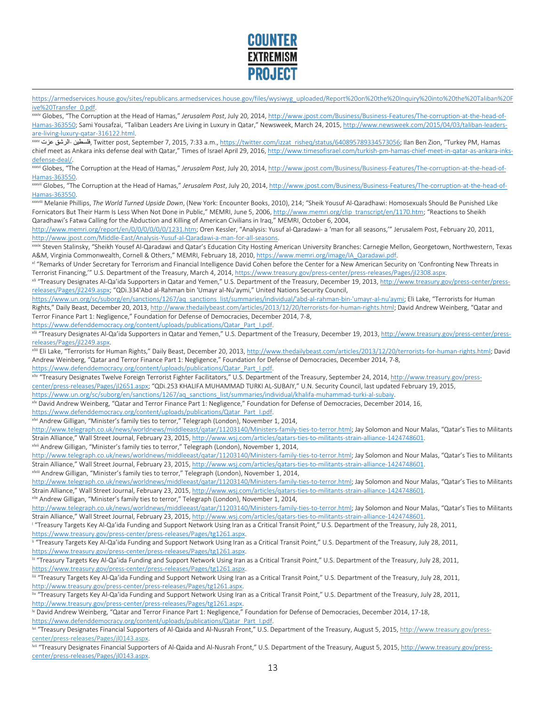

[https://armedservices.house.gov/sites/republicans.armedservices.house.gov/files/wysiwyg\\_uploaded/Report%20on%20the%20Inquiry%20into%20the%20Taliban%20F](https://armedservices.house.gov/sites/republicans.armedservices.house.gov/files/wysiwyg_uploaded/Report%20on%20the%20Inquiry%20into%20the%20Taliban%20Five%20Transfer_0.pdf)<br>ive%20Transfer\_0.pdf.

xxxiv Globes, "The Corruption at the Head of Hamas," Jerusalem Post, July 20, 2014[, http://www.jpost.com/Business/Business-Features/The-corruption-at-the-head-of-](http://www.jpost.com/Business/Business-Features/The-corruption-at-the-head-of-Hamas-363550)[Hamas-363550;](http://www.jpost.com/Business/Business-Features/The-corruption-at-the-head-of-Hamas-363550) Sami Yousafzai, "Taliban Leaders Are Living in Luxury in Qatar," Newsweek, March 24, 2015[, http://www.newsweek.com/2015/04/03/taliban-leaders-](http://www.newsweek.com/2015/04/03/taliban-leaders-are-living-luxury-qatar-316122.html)

[are-living-luxury-qatar-316122.html.](http://www.newsweek.com/2015/04/03/taliban-leaders-are-living-luxury-qatar-316122.html) قالتا: 1875-1287), are-living-luxury-qatar-316122.html. قاسطين, Twitter post, September 7, 2015, 7:33 a.m., <u>https://twitter.com/izzat\_risheq/status/640895789334573056</u>; Ilan Ben Zion, chief meet as Ankara inks defense deal with Qatar," Times of Israel April 29, 2016[, http://www.timesofisrael.com/turkish-pm-hamas-chief-meet-in-qatar-as-ankara-inks-](http://www.timesofisrael.com/turkish-pm-hamas-chief-meet-in-qatar-as-ankara-inks-defense-deal/)

defense-deal/.<br><sup>xxvi</sup> Globes, "The Corruption at the Head of Hamas," *Jerusalem Post*, July 20, 2014[, http://www.jpost.com/Business/Business-Features/The-corruption-at-the-head-of-](http://www.jpost.com/Business/Business-Features/The-corruption-at-the-head-of-Hamas-363550)[Hamas-363550.](http://www.jpost.com/Business/Business-Features/The-corruption-at-the-head-of-Hamas-363550)

xxxvii Globes, "The Corruption at the Head of Hamas," *Jerusalem Post*, July 20, 2014[, http://www.jpost.com/Business/Business-Features/The-corruption-at-the-head-of-](http://www.jpost.com/Business/Business-Features/The-corruption-at-the-head-of-Hamas-363550)

[Hamas-363550.](http://www.jpost.com/Business/Business-Features/The-corruption-at-the-head-of-Hamas-363550) xxxviii Melanie Phillips, *The World Turned Upside Down*, (New York: Encounter Books, 2010), 214; "Sheik Yousuf Al-Qaradhawi: Homosexuals Should Be Punished Like Fornicators But Their Harm Is Less When Not Done in Public," MEMRI, June 5, 2006, [http://www.memri.org/clip\\_transcript/en/1170.htm;](http://www.memri.org/clip_transcript/en/1170.htm) "Reactions to Sheikh Qaradhawi's Fatwa Calling for the Abduction and Killing of American Civilians in Iraq," MEMRI, October 6, 2004,

[http://www.memri.org/report/en/0/0/0/0/0/0/1231.htm;](http://www.memri.org/report/en/0/0/0/0/0/0/1231.htm) Oren Kessler, "Analysis: Yusuf al-Qaradawi- a 'man for all seasons,'" Jerusalem Post, February 20, 2011,

http://www.jpost.com/Middle-East/Analysis-Yusuf-al-Qaradawi-a-man-for-all-seasons.<br>xxxxx Steven Stalinsky, "Sheikh Yousef Al-Qaradawi and Qatar's Education City Hosting American University Branches: Carnegie Mellon, George

A&M, Virginia Commonwealth, Cornell & Others," MEMRI, February 18, 2010, <u>https://www.memri.org/image/IA\_Qaradawi.pdf</u>.<br><sup>xl</sup> "Remarks of Under Secretary for Terrorism and Financial Intelligence David Cohen before the Cente

Terrorist Financing,'" U.S. Department of the Treasury, March 4, 2014, <u>https://www.treasury.gov/press-center/press-releases/Pages/jl2308.aspx</u>.<br><sup>xii</sup> "Treasury Designates Al-Qa'ida Supporters in Qatar and Yemen," U.S. Dep [releases/Pages/jl2249.aspx;](http://www.treasury.gov/press-center/press-releases/Pages/jl2249.aspx) "QDi.334'Abd al-Rahman bin 'Umayr al-Nu'aymi," United Nations Security Council,

[https://www.un.org/sc/suborg/en/sanctions/1267/aq\\_sanctions\\_list/summaries/individual/'abd-al-rahman-bin-'umayr-al-nu'aymi;](https://www.un.org/sc/suborg/en/sanctions/1267/aq_sanctions_list/summaries/individual/) Eli Lake, "Terrorists for Human Rights," Daily Beast, December 20, 2013[, http://www.thedailybeast.com/articles/2013/12/20/terrorists-for-human-rights.html;](http://www.thedailybeast.com/articles/2013/12/20/terrorists-for-human-rights.html) David Andrew Weinberg, "Qatar and Terror Finance Part 1: Negligence," Foundation for Defense of Democracies, December 2014, 7-8,

 $\overline{a}$ 

[https://www.defenddemocracy.org/content/uploads/publications/Qatar\\_Part\\_I.pdf.](https://www.defenddemocracy.org/content/uploads/publications/Qatar_Part_I.pdf)<br>xiii "Treasury Designates Al-Qa'ida Supporters in Qatar and Yemen," U.S. Department of the Treasury, December 19, 2013, http://www.treasury.gov [releases/Pages/jl2249.aspx.](http://www.treasury.gov/press-center/press-releases/Pages/jl2249.aspx)

xliii Eli Lake, "Terrorists for Human Rights," Daily Beast, December 20, 2013[, http://www.thedailybeast.com/articles/2013/12/20/terrorists-for-human-rights.html;](http://www.thedailybeast.com/articles/2013/12/20/terrorists-for-human-rights.html) David Andrew Weinberg, "Qatar and Terror Finance Part 1: Negligence," Foundation for Defense of Democracies, December 2014, 7-8,

[https://www.defenddemocracy.org/content/uploads/publications/Qatar\\_Part\\_I.pdf.](https://www.defenddemocracy.org/content/uploads/publications/Qatar_Part_I.pdf)<br><sup>xliv</sup> "Treasury Designates Twelve Foreign Terrorist Fighter Facilitators," U.S. Department of the Treasury, September 24, 2014, <u>http://www.tr</u> [center/press-releases/Pages/jl2651.aspx;](http://www.treasury.gov/press-center/press-releases/Pages/jl2651.aspx) "QDi.253 KHALIFA MUHAMMAD TURKI AL-SUBAIY," U.N. Security Council, last updated February 19, 2015,

https://www.un.org/sc/suborg/en/sanctions/1267/aq\_sanctions\_list/summaries/individual/khalifa-muhammad-turki-al-subaiy.<br><sup>xlv</sup> David Andrew Weinberg, "Qatar and Terror Finance Part 1: Negligence," Foundation for Defense of

[https://www.defenddemocracy.org/content/uploads/publications/Qatar\\_Part\\_I.pdf.](https://www.defenddemocracy.org/content/uploads/publications/Qatar_Part_I.pdf)

xlvi Andrew Gilligan, "Minister's family ties to terror," Telegraph (London), November 1, 2014,

[http://www.telegraph.co.uk/news/worldnews/middleeast/qatar/11203140/Ministers-family-ties-to-terror.html;](http://www.telegraph.co.uk/news/worldnews/middleeast/qatar/11203140/Ministers-family-ties-to-terror.html) Jay Solomon and Nour Malas, "Qatar's Ties to Militants Strain Alliance," Wall Street Journal, February 23, 2015[, http://www.wsj.com/articles/qatars-ties-to-militants-strain-alliance-1424748601.](http://www.wsj.com/articles/qatars-ties-to-militants-strain-alliance-1424748601)<br>xwii Andrew Gilligan, "Minister's family ties to terror," Telegraph (London), Novem

[http://www.telegraph.co.uk/news/worldnews/middleeast/qatar/11203140/Ministers-family-ties-to-terror.html;](http://www.telegraph.co.uk/news/worldnews/middleeast/qatar/11203140/Ministers-family-ties-to-terror.html) Jay Solomon and Nour Malas, "Qatar's Ties to Militants Strain Alliance," Wall Street Journal, February 23, 2015, http://www.wsj.com/articles/qatars-ties-to-militants-strain-alliance-1424748601, will Andrew Gilligan, "Minister's family ties to terror," Telegraph (London), Novem

[http://www.telegraph.co.uk/news/worldnews/middleeast/qatar/11203140/Ministers-family-ties-to-terror.html;](http://www.telegraph.co.uk/news/worldnews/middleeast/qatar/11203140/Ministers-family-ties-to-terror.html) Jay Solomon and Nour Malas, "Qatar's Ties to Militants Strain Alliance," Wall Street Journal, February 23, 2015, http://www.wsj.com/articles/gatars-ties-to-militants-strain-alliance-1424748601.<br>xlix Andrew Gilligan, "Minister's family ties to terror," Telegraph (London), Novem

[http://www.telegraph.co.uk/news/worldnews/middleeast/qatar/11203140/Ministers-family-ties-to-terror.html;](http://www.telegraph.co.uk/news/worldnews/middleeast/qatar/11203140/Ministers-family-ties-to-terror.html) Jay Solomon and Nour Malas, "Qatar's Ties to Militants Strain Alliance," Wall Street Journal, February 23, 2015[, http://www.wsj.com/articles/qatars-ties-to-militants-strain-alliance-1424748601.](http://www.wsj.com/articles/qatars-ties-to-militants-strain-alliance-1424748601)<br><sup>| "</sup>Treasury Targets Key Al-Qa'ida Funding and Support Network Using Iran as a Cri

https://www.treasury.gov/press-center/press-releases/Pages/tg1261.aspx.<br><sup>Ii</sup> "Treasury Targets Key Al-Qa'ida Funding and Support Network Using Iran as a Critical Transit Point," U.S. Department of the Treasury, July 28, 20

https://www.treasury.gov/press-center/press-releases/Pages/tg1261.aspx.<br>iii "Treasury Targets Key Al-Qa'ida Funding and Support Network Using Iran as a Critical Transit Point," U.S. Department of the Treasury, July 28, 201

https://www.treasury.gov/press-center/press-releases/Pages/tg1261.aspx.<br>IIII "Treasury Targets Key Al-Qa'ida Funding and Support Network Using Iran as a Critical Transit Point," U.S. Department of the Treasury, July 28, 20

http://www.treasury.gov/press-center/press-releases/Pages/tg1261.aspx.<br><sup>Iiv</sup> "Treasury Targets Key Al-Qa'ida Funding and Support Network Using Iran as a Critical Transit Point," U.S. Department of the Treasury, July 28, 20

http://www.treasury.gov/press-center/press-releases/Pages/tg1261.aspx.<br><sup>Iv</sup> David Andrew Weinberg, "Qatar and Terror Finance Part 1: Negligence," Foundation for Defense of Democracies, December 2014, 17-18,

[https://www.defenddemocracy.org/content/uploads/publications/Qatar\\_Part\\_I.pdf.](https://www.defenddemocracy.org/content/uploads/publications/Qatar_Part_I.pdf)

M "Treasury Designates Financial Supporters of Al-Qaida and Al-Nusrah Front," U.S. Department of the Treasury, August 5, 2015, [http://www.treasury.gov/press](http://www.treasury.gov/press-center/press-releases/Pages/jl0143.aspx)[center/press-releases/Pages/jl0143.aspx.](http://www.treasury.gov/press-center/press-releases/Pages/jl0143.aspx)

Wii "Treasury Designates Financial Supporters of Al-Qaida and Al-Nusrah Front," U.S. Department of the Treasury, August 5, 2015[, http://www.treasury.gov/press](http://www.treasury.gov/press-center/press-releases/Pages/jl0143.aspx)[center/press-releases/Pages/jl0143.aspx.](http://www.treasury.gov/press-center/press-releases/Pages/jl0143.aspx)